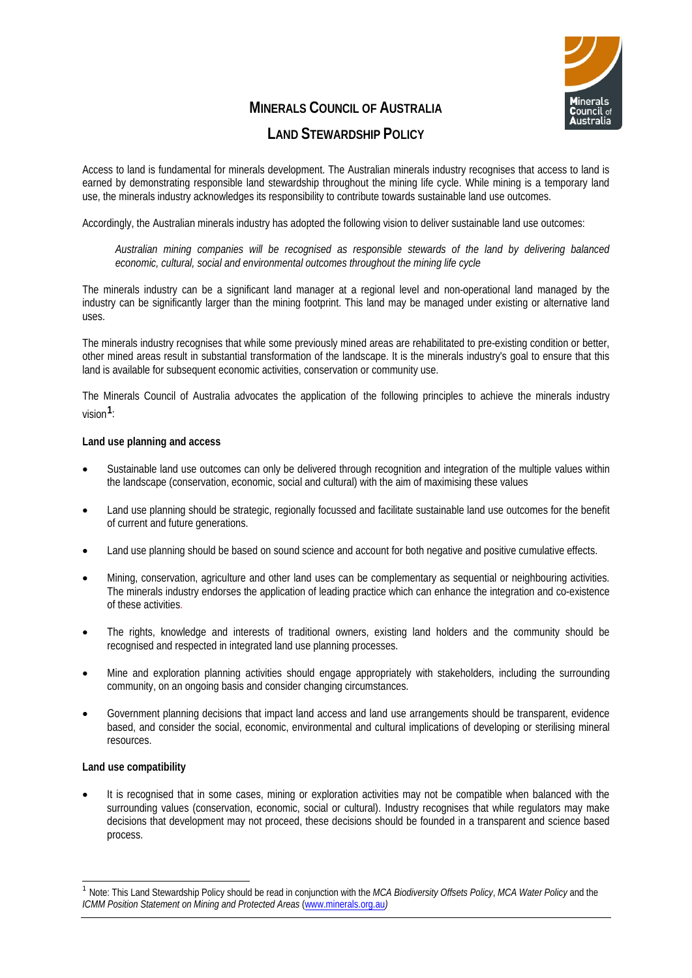

# **MINERALS COUNCIL OF AUSTRALIA**

# **LAND STEWARDSHIP POLICY**

Access to land is fundamental for minerals development. The Australian minerals industry recognises that access to land is earned by demonstrating responsible land stewardship throughout the mining life cycle. While mining is a temporary land use, the minerals industry acknowledges its responsibility to contribute towards sustainable land use outcomes.

Accordingly, the Australian minerals industry has adopted the following vision to deliver sustainable land use outcomes:

*Australian mining companies will be recognised as responsible stewards of the land by delivering balanced economic, cultural, social and environmental outcomes throughout the mining life cycle*

The minerals industry can be a significant land manager at a regional level and non-operational land managed by the industry can be significantly larger than the mining footprint. This land may be managed under existing or alternative land uses.

The minerals industry recognises that while some previously mined areas are rehabilitated to pre-existing condition or better, other mined areas result in substantial transformation of the landscape. It is the minerals industry's goal to ensure that this land is available for subsequent economic activities, conservation or community use.

The Minerals Council of Australia advocates the application of the following principles to achieve the minerals industry vision**[1](#page-0-0)**:

## **Land use planning and access**

- Sustainable land use outcomes can only be delivered through recognition and integration of the multiple values within the landscape (conservation, economic, social and cultural) with the aim of maximising these values
- Land use planning should be strategic, regionally focussed and facilitate sustainable land use outcomes for the benefit of current and future generations.
- Land use planning should be based on sound science and account for both negative and positive cumulative effects.
- Mining, conservation, agriculture and other land uses can be complementary as sequential or neighbouring activities. The minerals industry endorses the application of leading practice which can enhance the integration and co-existence of these activities.
- The rights, knowledge and interests of traditional owners, existing land holders and the community should be recognised and respected in integrated land use planning processes.
- Mine and exploration planning activities should engage appropriately with stakeholders, including the surrounding community, on an ongoing basis and consider changing circumstances.
- Government planning decisions that impact land access and land use arrangements should be transparent, evidence based, and consider the social, economic, environmental and cultural implications of developing or sterilising mineral resources.

#### **Land use compatibility**

It is recognised that in some cases, mining or exploration activities may not be compatible when balanced with the surrounding values (conservation, economic, social or cultural). Industry recognises that while regulators may make decisions that development may not proceed, these decisions should be founded in a transparent and science based process.

<span id="page-0-0"></span> <sup>1</sup> Note: This Land Stewardship Policy should be read in conjunction with the *MCA Biodiversity Offsets Policy*, *MCA Water Policy* and the *ICMM Position Statement on Mining and Protected Areas [\(www.minerals.org.au](http://www.minerals.org.au/))*